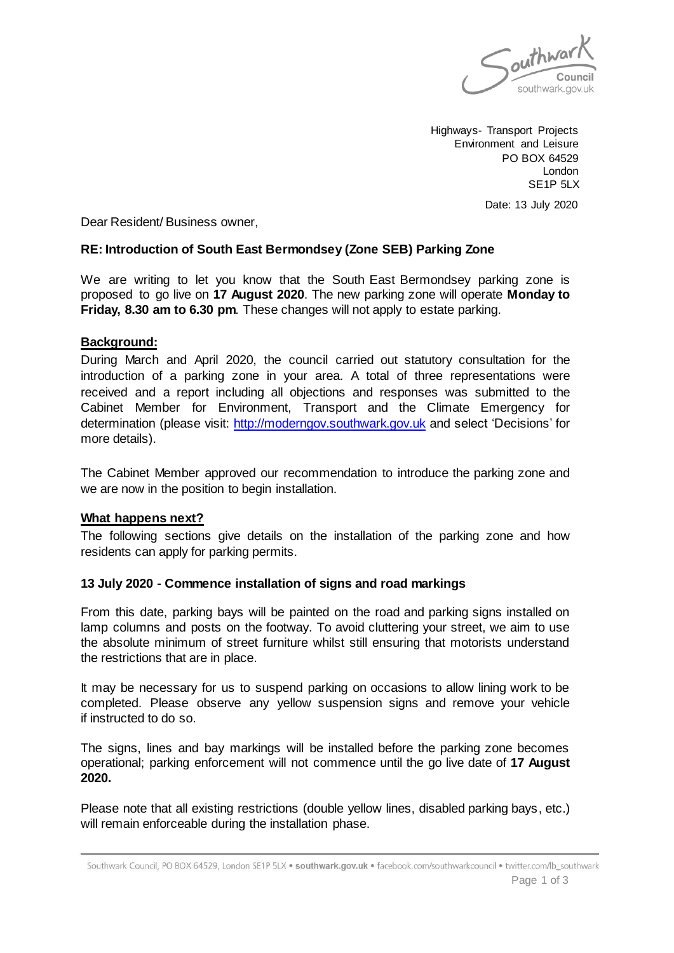

Highways- Transport Projects Environment and Leisure PO BOX 64529 London SE1P 5LX

Date: 13 July 2020

Dear Resident/ Business owner,

## **RE: Introduction of South East Bermondsey (Zone SEB) Parking Zone**

We are writing to let you know that the South East Bermondsey parking zone is proposed to go live on **17 August 2020**. The new parking zone will operate **Monday to Friday, 8.30 am to 6.30 pm**. These changes will not apply to estate parking.

#### **Background:**

During March and April 2020, the council carried out statutory consultation for the introduction of a parking zone in your area. A total of three representations were received and a report including all objections and responses was submitted to the Cabinet Member for Environment, Transport and the Climate Emergency for determination (please visit: [http://moderngov.southwark.gov.uk](http://moderngov.southwark.gov.uk/) and select 'Decisions' for more details).

The Cabinet Member approved our recommendation to introduce the parking zone and we are now in the position to begin installation.

#### **What happens next?**

The following sections give details on the installation of the parking zone and how residents can apply for parking permits.

## **13 July 2020 - Commence installation of signs and road markings**

From this date, parking bays will be painted on the road and parking signs installed on lamp columns and posts on the footway. To avoid cluttering your street, we aim to use the absolute minimum of street furniture whilst still ensuring that motorists understand the restrictions that are in place.

It may be necessary for us to suspend parking on occasions to allow lining work to be completed. Please observe any yellow suspension signs and remove your vehicle if instructed to do so.

The signs, lines and bay markings will be installed before the parking zone becomes operational; parking enforcement will not commence until the go live date of **17 August 2020.**

Please note that all existing restrictions (double yellow lines, disabled parking bays, etc.) will remain enforceable during the installation phase.

Southwark Council, PO BOX 64529, London SE1P 5LX . southwark.gov.uk . facebook.com/southwarkcouncil . twitter.com/lb\_southwark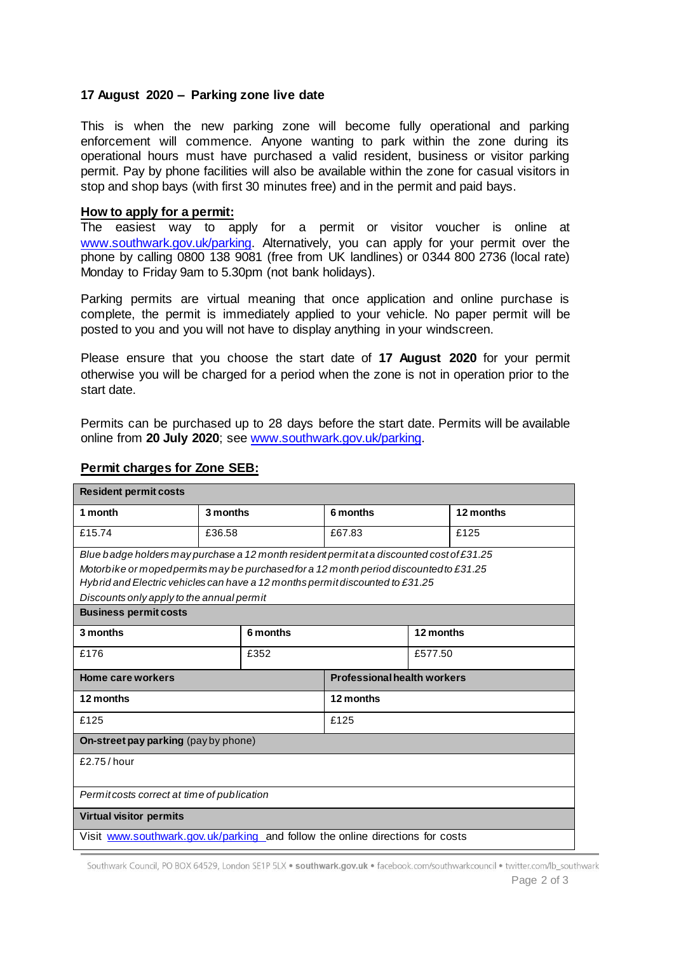#### **17 August 2020 – Parking zone live date**

This is when the new parking zone will become fully operational and parking enforcement will commence. Anyone wanting to park within the zone during its operational hours must have purchased a valid resident, business or visitor parking permit. Pay by phone facilities will also be available within the zone for casual visitors in stop and shop bays (with first 30 minutes free) and in the permit and paid bays.

#### **How to apply for a permit:**

The easiest way to apply for a permit or visitor voucher is online at [www.southwark.gov.uk/parking.](http://www.southwark.gov.uk/parking) Alternatively, you can apply for your permit over the phone by calling 0800 138 9081 (free from UK landlines) or 0344 800 2736 (local rate) Monday to Friday 9am to 5.30pm (not bank holidays).

Parking permits are virtual meaning that once application and online purchase is complete, the permit is immediately applied to your vehicle. No paper permit will be posted to you and you will not have to display anything in your windscreen.

Please ensure that you choose the start date of **17 August 2020** for your permit otherwise you will be charged for a period when the zone is not in operation prior to the start date.

Permits can be purchased up to 28 days before the start date. Permits will be available online from **20 July 2020**; see [www.southwark.gov.uk/parking.](http://www.southwark.gov.uk/parking)

| <b>Resident permit costs</b>                                                                                                                                                                                                                                                                                                                    |          |      |                                    |           |           |
|-------------------------------------------------------------------------------------------------------------------------------------------------------------------------------------------------------------------------------------------------------------------------------------------------------------------------------------------------|----------|------|------------------------------------|-----------|-----------|
| 1 month                                                                                                                                                                                                                                                                                                                                         | 3 months |      | 6 months                           |           | 12 months |
| £15.74                                                                                                                                                                                                                                                                                                                                          | £36.58   |      | £67.83                             |           | £125      |
| Blue badge holders may purchase a 12 month resident permitata discounted cost of £31.25<br>Motorbike or moped permits may be purchased for a 12 month period discounted to £31.25<br>Hybrid and Electric vehicles can have a 12 months permit discounted to £31.25<br>Discounts only apply to the annual permit<br><b>Business permit costs</b> |          |      |                                    |           |           |
| 3 months                                                                                                                                                                                                                                                                                                                                        | 6 months |      |                                    | 12 months |           |
| £176                                                                                                                                                                                                                                                                                                                                            |          | £352 |                                    | £577.50   |           |
| Home care workers                                                                                                                                                                                                                                                                                                                               |          |      | <b>Professional health workers</b> |           |           |
| 12 months                                                                                                                                                                                                                                                                                                                                       |          |      | 12 months                          |           |           |
| £125                                                                                                                                                                                                                                                                                                                                            |          |      | £125                               |           |           |
| <b>On-street pay parking</b> (pay by phone)                                                                                                                                                                                                                                                                                                     |          |      |                                    |           |           |
| £2.75/hour                                                                                                                                                                                                                                                                                                                                      |          |      |                                    |           |           |
| Permit costs correct at time of publication                                                                                                                                                                                                                                                                                                     |          |      |                                    |           |           |
| <b>Virtual visitor permits</b>                                                                                                                                                                                                                                                                                                                  |          |      |                                    |           |           |
| Visit www.southwark.gov.uk/parking_and follow the online directions for costs                                                                                                                                                                                                                                                                   |          |      |                                    |           |           |

## **Permit charges for Zone SEB:**

Southwark Council, PO BOX 64529, London SE1P 5LX . southwark.gov.uk . facebook.com/southwarkcouncil . twitter.com/lb\_southwark